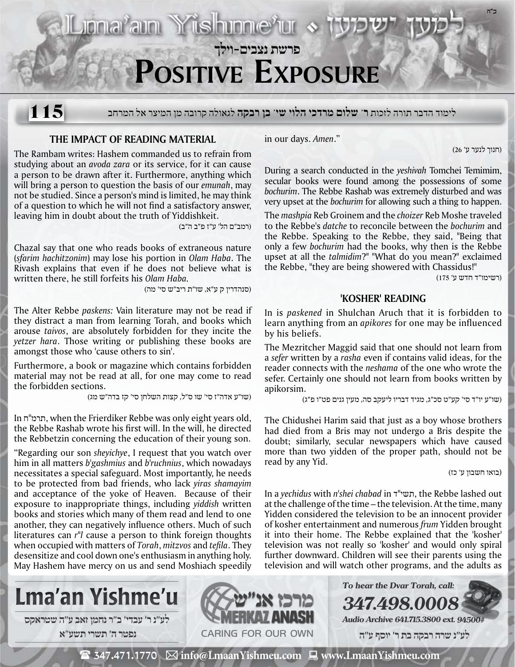

לימוד הדבר תורה לזכות **ר' שלום מרדכי הלוי שי' בן רבקה** לגאולה קרובה מן המיצר אל המרחב **115**

## **The Impact of Reading Material**

The Rambam writes: Hashem commanded us to refrain from studying about an *avoda zara* or its service, for it can cause a person to be drawn after it. Furthermore, anything which will bring a person to question the basis of our *emunah*, may not be studied. Since a person's mind is limited, he may think of a question to which he will not find a satisfactory answer, leaving him in doubt about the truth of Yiddishkeit.

(רמב"ם הל' ע"ז פ"ב ה"ב)

Chazal say that one who reads books of extraneous nature (*sfarim hachitzonim*) may lose his portion in *Olam Haba*. The Rivash explains that even if he does not believe what is written there, he still forfeits his *Olam Haba.*

(סנהדרין ק ע"א, שו"ת ריב"ש סי' מה)

The Alter Rebbe *paskens:* Vain literature may not be read if they distract a man from learning Torah, and books which arouse *taivos*, are absolutely forbidden for they incite the *yetzer hara*. Those writing or publishing these books are amongst those who 'cause others to sin'.

Furthermore, a book or magazine which contains forbidden material may not be read at all, for one may come to read the forbidden sections.

(שו"ע אדה"ז סי' שו ס"ל, קצות השלחן סי' קז בדה"ש מג)

In ח''תרמ, when the Frierdiker Rebbe was only eight years old, the Rebbe Rashab wrote his first will. In the will, he directed the Rebbetzin concerning the education of their young son.

"Regarding our son *sheyichye*, I request that you watch over him in all matters *b'gashmius* and *b'ruchnius*, which nowadays necessitates a special safeguard. Most importantly, he needs to be protected from bad friends, who lack *yiras shamayim* and acceptance of the yoke of Heaven. Because of their exposure to inappropriate things, including *yiddish* written books and stories which many of them read and lend to one another, they can negatively influence others. Much of such literatures can *r"l* cause a person to think foreign thoughts when occupied with matters of *Torah*, *mitzvos* and *tefila*. They desensitize and cool down one's enthusiasm in anything holy. May Hashem have mercy on us and send Moshiach speedily in our days. *Amen*."

(חנוך לנער ע' 26)

During a search conducted in the *yeshivah* Tomchei Temimim, secular books were found among the possessions of some *bochurim*. The Rebbe Rashab was extremely disturbed and was very upset at the *bochurim* for allowing such a thing to happen.

The *mashpia* Reb Groinem and the *choizer* Reb Moshe traveled to the Rebbe's *datche* to reconcile between the *bochurim* and the Rebbe. Speaking to the Rebbe, they said, "Being that only a few *bochurim* had the books, why then is the Rebbe upset at all the *talmidim*?" "What do you mean?" exclaimed the Rebbe, "they are being showered with Chassidus!"

(רשימו"ד חדש ע' 175)

## **'Kosher' Reading**

In is *paskened* in Shulchan Aruch that it is forbidden to learn anything from an *apikores* for one may be influenced by his beliefs.

The Mezritcher Maggid said that one should not learn from a *sefer* written by a *rasha* even if contains valid ideas, for the reader connects with the *neshama* of the one who wrote the sefer. Certainly one should not learn from books written by apikorsim.

(שו"ע יו"ד סי' קע"ט סכ"ג, מגיד דבריו ליעקב סה, מעין גנים פט"ו פ"ג)

The Chidushei Harim said that just as a boy whose brothers had died from a Bris may not undergo a Bris despite the doubt; similarly, secular newspapers which have caused more than two yidden of the proper path, should not be read by any Yid.

(בואו חשבון ע' כז)

In a *yechidus* with *n'shei chabad* in ד"תשי, the Rebbe lashed out at the challenge of the time – the television. At the time, many Yidden considered the television to be an innocent provider of kosher entertainment and numerous *frum* Yidden brought it into their home. The Rebbe explained that the 'kosher' television was not really so 'kosher' and would only spiral further downward. Children will see their parents using the television and will watch other programs, and the adults as



**נפטר ה׳ תשרי תשע**"**א**



**347.498.0008 Audio Archive 641.715.3800 ext. 94500#**

**To hear the Dvar Torah, call:**

 **לע"נ שרה רבקה בת ר׳ יוסף ע"ה**